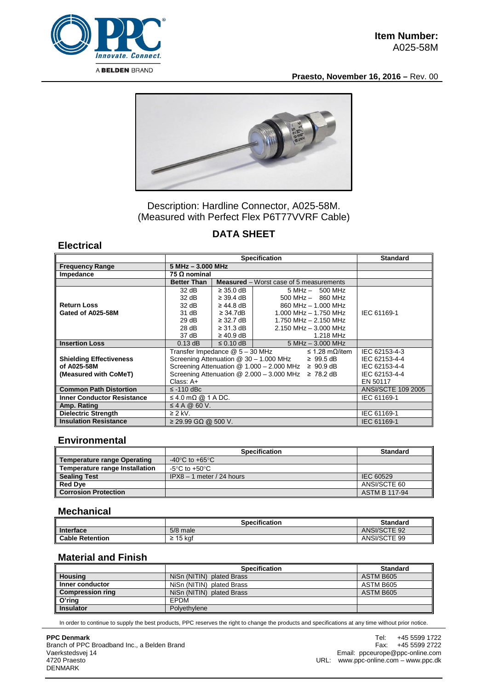

**Praesto, November 16, 2016 –** Rev. 00



Description: Hardline Connector, A025-58M. (Measured with Perfect Flex P6T77VVRF Cable)

# **DATA SHEET**

### **Electrical**

|                                   | <b>Specification</b>                                             |                            |                                                | <b>Standard</b>           |  |
|-----------------------------------|------------------------------------------------------------------|----------------------------|------------------------------------------------|---------------------------|--|
| <b>Frequency Range</b>            |                                                                  | 5 MHz - 3.000 MHz          |                                                |                           |  |
| Impedance                         | 75 $\Omega$ nominal                                              |                            |                                                |                           |  |
|                                   | <b>Better Than</b>                                               |                            | <b>Measured</b> – Worst case of 5 measurements |                           |  |
|                                   | 32 dB                                                            | $\geq$ 35.0 dB             | $5 MHz - 500 MHz$                              |                           |  |
|                                   | 32 dB                                                            | $\geq$ 39.4 dB $\parallel$ | $500$ MHz $-$ 860 MHz                          |                           |  |
| <b>Return Loss</b>                | 32 dB                                                            | $\geq$ 44.8 dB $\parallel$ | 860 MHz - 1.000 MHz                            |                           |  |
| Gated of A025-58M                 | 31 dB                                                            | $\geq$ 34.7dB $\parallel$  | $1.000$ MHz $- 1.750$ MHz                      | IEC 61169-1               |  |
|                                   | 29dB                                                             | $\geq$ 32.7 dB             | 1.750 MHz - 2.150 MHz                          |                           |  |
|                                   | 28 dB                                                            | $\geq$ 31.3 dB             | $2.150$ MHz $-$ 3.000 MHz                      |                           |  |
|                                   | 37 dB                                                            | $\geq 40.9$ dB             | 1.218 MHz                                      |                           |  |
| <b>Insertion Loss</b>             | $0.13$ dB                                                        | $\leq$ 0.10 dB             | $5 MHz - 3.000 MHz$                            |                           |  |
|                                   | Transfer Impedance @ 5 - 30 MHz<br>≤ 1.28 mΩ/item                |                            |                                                | IEC 62153-4-3             |  |
| <b>Shielding Effectiveness</b>    | Screening Attenuation @ 30 - 1.000 MHz<br>$\geq 99.5 \text{ dB}$ |                            |                                                | IEC 62153-4-4             |  |
| of A025-58M                       | Screening Attenuation $@ 1.000 - 2.000$ MHz $\geq 90.9$ dB       |                            |                                                | IEC 62153-4-4             |  |
| (Measured with CoMeT)             | Screening Attenuation $@ 2.000 - 3.000$ MHz $\geq 78.2$ dB       |                            |                                                | IEC 62153-4-4             |  |
|                                   | $Class: A+$                                                      |                            |                                                | EN 50117                  |  |
| <b>Common Path Distortion</b>     | $\le$ -110 dBc                                                   |                            |                                                | <b>ANSI/SCTE 109 2005</b> |  |
| <b>Inner Conductor Resistance</b> | $\leq$ 4.0 m $\Omega$ @ 1 A DC.                                  | IEC 61169-1                |                                                |                           |  |
| Amp. Rating                       | $\leq$ 4 A @ 60 V.                                               |                            |                                                |                           |  |
| <b>Dielectric Strength</b>        | $\geq$ 2 kV.                                                     | IEC 61169-1                |                                                |                           |  |
| <b>Insulation Resistance</b>      | $\geq$ 29.99 GΩ @ 500 V.                                         |                            |                                                | IEC 61169-1               |  |

#### **Environmental**

|                                | <b>Specification</b>                 | <b>Standard</b>      |
|--------------------------------|--------------------------------------|----------------------|
| Temperature range Operating    | -40 $^{\circ}$ C to +65 $^{\circ}$ C |                      |
| Temperature range Installation | -5°C to +50°C.                       |                      |
| <b>Sealing Test</b>            | $IPX8 - 1$ meter / 24 hours          | IEC 60529            |
| <b>Red Dye</b>                 |                                      | ANSI/SCTE 60         |
| <b>Corrosion Protection</b>    |                                      | <b>ASTM B 117-94</b> |

#### **Mechanical**

|                        | Specification | <b>Standard</b>     |
|------------------------|---------------|---------------------|
| Interface              | $5/8$ male    | <b>ANSI/SCTE 92</b> |
| <b>Cable Retention</b> | 15 kaf<br>-   | ANSI/SCTE 99        |

## **Material and Finish**

|                         | <b>Specification</b>      | <b>Standard</b> |
|-------------------------|---------------------------|-----------------|
| <b>Housing</b>          | NiSn (NITIN) plated Brass | ASTM B605       |
| Inner conductor         | NiSn (NITIN) plated Brass | ASTM B605       |
| <b>Compression ring</b> | NiSn (NITIN) plated Brass | ASTM B605       |
| O'ring                  | <b>FPDM</b>               |                 |
| <b>Insulator</b>        | Polvethylene              |                 |

In order to continue to supply the best products, PPC reserves the right to change the products and specifications at any time without prior notice.

#### **PPC Denmark** Branch of PPC Broadband Inc., a Belden Brand Vaerkstedsvej 14 4720 Praesto DENMARK

Tel: +45 5599 1722<br>Fax: +45 5599 2722 +45 5599 2722 Email: ppceurope@ppc-online.com URL: www.ppc-online.com – www.ppc.dk